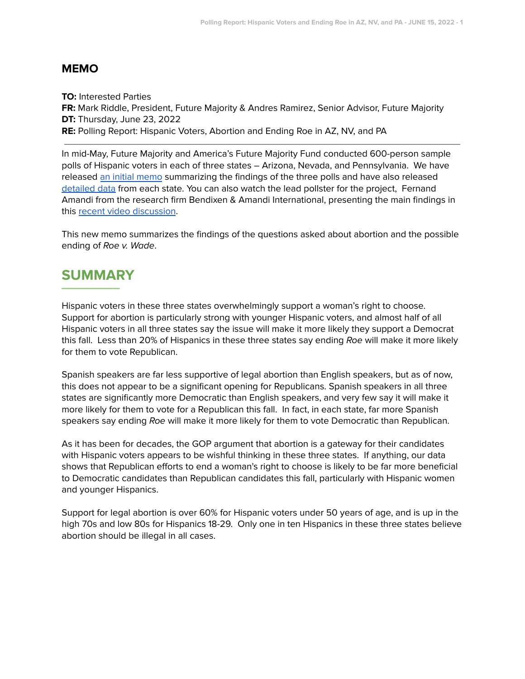## **MEMO**

**TO:** Interested Parties **FR:** Mark Riddle, President, Future Majority & Andres Ramirez, Senior Advisor, Future Majority **DT:** Thursday, June 23, 2022 **RE:** Polling Report: Hispanic Voters, Abortion and Ending Roe in AZ, NV, and PA

In mid-May, Future Majority and America's Future Majority Fund conducted 600-person sample polls of Hispanic voters in each of three states – Arizona, Nevada, and Pennsylvania. We have released an initial [memo](https://click.everyaction.com/k/45995190/348391818/804554385?nvep=ew0KICAiVGVuYW50VXJpIjogIm5ncHZhbjovL3Zhbi9FQS9FQTAwMi8xLzcxNjc1IiwNCiAgIkRpc3RyaWJ1dGlvblVuaXF1ZUlkIjogImY4MDk0OTE2LWM4ZTEtZWMxMS1iNjU2LTI4MTg3OGI4NTExMCIsDQogICJFbWFpbEFkZHJlc3MiOiAic2ltb25Ac2ltb24tcm9zZW5iZXJnLmNvbSINCn0%3D&hmac=q19RaY_KBCE2sgbpfh5RpqMkBzGSMq09U2NHYKob-zk=&emci=6407cfe9-bae1-ec11-b656-281878b85110&emdi=f8094916-c8e1-ec11-b656-281878b85110&ceid=10719753) summarizing the findings of the three polls and have also released [detailed](https://futuremajority.org/future-majority-releases-voter-study/) data from each state. You can also watch the lead pollster for the project, Fernand Amandi from the research firm Bendixen & Amandi International, presenting the main findings in this recent video [discussion](https://www.ndn.org/hispanic-vote-briefing-wfernand-amandi).

This new memo summarizes the findings of the questions asked about abortion and the possible ending of Roe v. Wade.

## **SUMMARY \_\_\_\_\_\_\_\_**

Hispanic voters in these three states overwhelmingly support a woman's right to choose. Support for abortion is particularly strong with younger Hispanic voters, and almost half of all Hispanic voters in all three states say the issue will make it more likely they support a Democrat this fall. Less than 20% of Hispanics in these three states say ending Roe will make it more likely for them to vote Republican.

Spanish speakers are far less supportive of legal abortion than English speakers, but as of now, this does not appear to be a significant opening for Republicans. Spanish speakers in all three states are significantly more Democratic than English speakers, and very few say it will make it more likely for them to vote for a Republican this fall. In fact, in each state, far more Spanish speakers say ending Roe will make it more likely for them to vote Democratic than Republican.

As it has been for decades, the GOP argument that abortion is a gateway for their candidates with Hispanic voters appears to be wishful thinking in these three states. If anything, our data shows that Republican efforts to end a woman's right to choose is likely to be far more beneficial to Democratic candidates than Republican candidates this fall, particularly with Hispanic women and younger Hispanics.

Support for legal abortion is over 60% for Hispanic voters under 50 years of age, and is up in the high 70s and low 80s for Hispanics 18-29. Only one in ten Hispanics in these three states believe abortion should be illegal in all cases.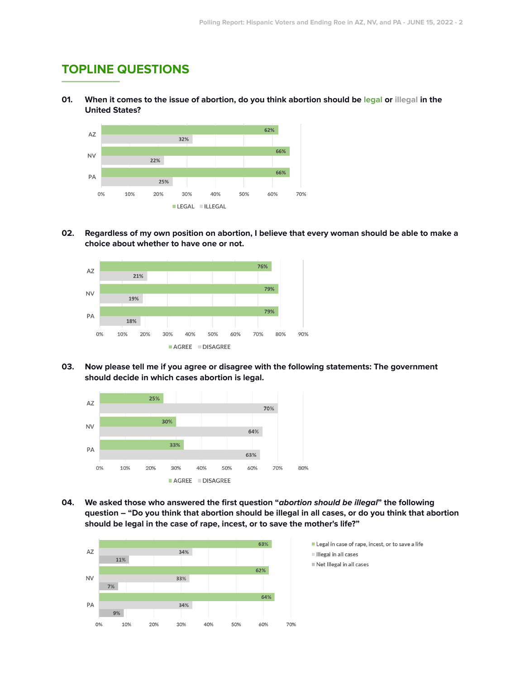## **TOPLINE QUESTIONS \_\_\_\_\_\_\_\_**

01. When it comes to the issue of abortion, do you think abortion should be legal or illegal in the **United States?**



02. Regardless of my own position on abortion, I believe that every woman should be able to make a **choice about whether to have one or not.**



**03. Now please tell me if you agree or disagree with the following statements: The government should decide in which cases abortion is legal.**



**04. We asked those who answered the first question "abortion should be illegal" the following** question - "Do you think that abortion should be illegal in all cases, or do you think that abortion **should be legal in the case of rape, incest, or to save the mother's life?"**



- Legal in case of rape, incest, or to save a life
- Illegal in all cases
- Net Illegal in all cases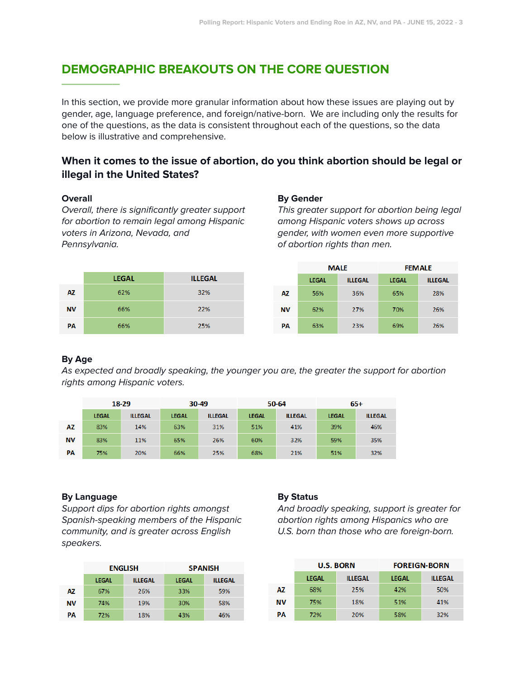# **DEMOGRAPHIC BREAKOUTS ON THE CORE QUESTION \_\_\_\_\_\_\_\_**

In this section, we provide more granular information about how these issues are playing out by gender, age, language preference, and foreign/native-born. We are including only the results for one of the questions, as the data is consistent throughout each of the questions, so the data below is illustrative and comprehensive.

# **When it comes to the issue of abortion, do you think abortion should be legal or illegal in the United States?**

## **Overall**

Overall, there is significantly greater support for abortion to remain legal among Hispanic voters in Arizona, Nevada, and Pennsylvania.

#### **By Gender**

This greater support for abortion being legal among Hispanic voters shows up across gender, with women even more supportive of abortion rights than men.



|     |              | <b>MALE</b>    | <b>FEMALE</b> |                |  |
|-----|--------------|----------------|---------------|----------------|--|
|     | <b>LEGAL</b> | <b>ILLEGAL</b> | <b>LEGAL</b>  | <b>ILLEGAL</b> |  |
| AZ. | 56%          | 36%            | 65%           | 28%            |  |
| ΝV  | 62%          | 27%            | 70%           | 26%            |  |
| PA  | 63%          | 23%            | 69%           | 26%            |  |

## **By Age**

As expected and broadly speaking, the younger you are, the greater the support for abortion rights among Hispanic voters.

|           | 18-29        |                | 30-49        |                | 50-64        |                | $65+$        |                |
|-----------|--------------|----------------|--------------|----------------|--------------|----------------|--------------|----------------|
|           | <b>LEGAL</b> | <b>ILLEGAL</b> | <b>LEGAL</b> | <b>ILLEGAL</b> | <b>LEGAL</b> | <b>ILLEGAL</b> | <b>LEGAL</b> | <b>ILLEGAL</b> |
| AZ        | 83%          | 14%            | 63%          | 31%            | 51%          | 41%            | 39%          | 46%            |
| <b>NV</b> | 83%          | 11%            | 65%          | 26%            | 60%          | 32%            | 59%          | 35%            |
| PA        | 75%          | 20%            | 66%          | 25%            | 68%          | 21%            | 51%          | 32%            |

#### **By Language**

Support dips for abortion rights amongst Spanish-speaking members of the Hispanic community, and is greater across English speakers.

|           |                                | <b>ENGLISH</b> | <b>SPANISH</b> |                |  |
|-----------|--------------------------------|----------------|----------------|----------------|--|
|           | <b>ILLEGAL</b><br><b>LEGAL</b> |                | <b>LEGAL</b>   | <b>ILLEGAL</b> |  |
| ΑZ        | 67%                            | 26%            | 33%            | 59%            |  |
| <b>NV</b> | 74%                            | 19%            | 30%            | 58%            |  |
| PА        | 72%                            | 18%            | 43%            | 46%            |  |

#### **By Status**

And broadly speaking, support is greater for abortion rights among Hispanics who are U.S. born than those who are foreign-born.

|           |              | <b>U.S. BORN</b> | <b>FOREIGN-BORN</b> |                |  |
|-----------|--------------|------------------|---------------------|----------------|--|
|           | <b>LEGAL</b> | <b>ILLEGAL</b>   | <b>LEGAL</b>        | <b>ILLEGAL</b> |  |
| AZ        | 68%          | 25%              | 42%                 | 50%            |  |
| <b>NV</b> | 75%          | 18%              | 51%                 | 41%            |  |
| PА        | 72%          | 20%              | 58%                 | 32%            |  |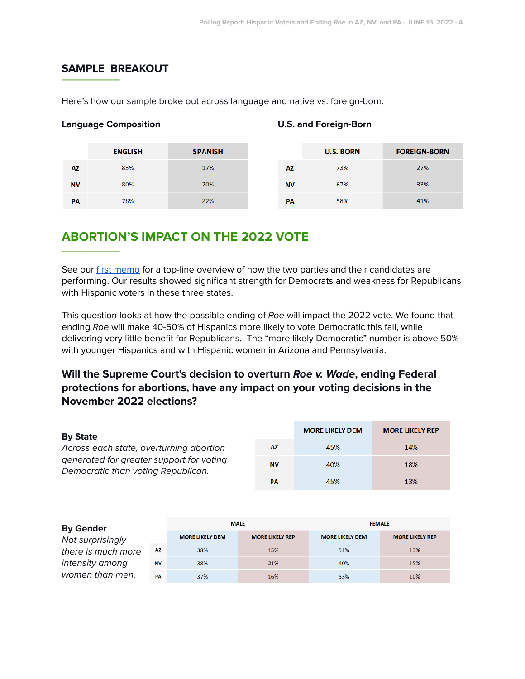# **SAMPLE BREAKOUT \_\_\_\_\_\_\_\_**

Here's how our sample broke out across language and native vs. foreign-born.

## **Language Composition U.S. and Foreign-Born**

|           | <b>ENGLISH</b> | <b>SPANISH</b> |           | <b>U.S. BORN</b> | <b>FOREIGN-BORN</b> |
|-----------|----------------|----------------|-----------|------------------|---------------------|
| AZ        | 83%            | 17%            | AZ        | 73%              | 27%                 |
| <b>NV</b> | 80%            | 20%            | <b>NV</b> | 67%              | 33%                 |
| PA        | 78%            | 22%            | PA        | 58%              | 41%                 |

# **ABORTION'S IMPACT ON THE 2022 VOTE \_\_\_\_\_\_\_\_**

See our first [memo](https://click.everyaction.com/k/45995190/348391818/804554385?nvep=ew0KICAiVGVuYW50VXJpIjogIm5ncHZhbjovL3Zhbi9FQS9FQTAwMi8xLzcxNjc1IiwNCiAgIkRpc3RyaWJ1dGlvblVuaXF1ZUlkIjogImY4MDk0OTE2LWM4ZTEtZWMxMS1iNjU2LTI4MTg3OGI4NTExMCIsDQogICJFbWFpbEFkZHJlc3MiOiAic2ltb25Ac2ltb24tcm9zZW5iZXJnLmNvbSINCn0%3D&hmac=q19RaY_KBCE2sgbpfh5RpqMkBzGSMq09U2NHYKob-zk=&emci=6407cfe9-bae1-ec11-b656-281878b85110&emdi=f8094916-c8e1-ec11-b656-281878b85110&ceid=10719753) for a top-line overview of how the two parties and their candidates are performing. Our results showed significant strength for Democrats and weakness for Republicans with Hispanic voters in these three states.

This question looks at how the possible ending of Roe will impact the 2022 vote. We found that ending Roe will make 40-50% of Hispanics more likely to vote Democratic this fall, while delivering very little benefit for Republicans. The "more likely Democratic" number is above 50% with younger Hispanics and with Hispanic women in Arizona and Pennsylvania.

**Will the Supreme Court's decision to overturn Roe v. Wade, ending Federal protections for abortions, have any impact on your voting decisions in the November 2022 elections?**

| <b>By State</b>                                                                                                           | <b>MORE LIKELY DEM</b> | <b>MORE LIKELY REP</b> |     |
|---------------------------------------------------------------------------------------------------------------------------|------------------------|------------------------|-----|
| Across each state, overturning abortion<br>generated far greater support for voting<br>Democratic than voting Republican. | ΑZ                     | 45%                    | 14% |
|                                                                                                                           | <b>NV</b>              | 40%                    | 18% |
|                                                                                                                           | <b>PA</b>              | 45%                    | 13% |

| <b>By Gender</b>   |           | <b>MALE</b>            |                        | <b>FEMALE</b>          |                        |
|--------------------|-----------|------------------------|------------------------|------------------------|------------------------|
| Not surprisingly   |           | <b>MORE LIKELY DEM</b> | <b>MORE LIKELY REP</b> | <b>MORE LIKELY DEM</b> | <b>MORE LIKELY REP</b> |
| there is much more | AZ.       | 38%                    | 15%                    | 51%                    | 13%                    |
| intensity among    | <b>NV</b> | 38%                    | 21%                    | 40%                    | 15%                    |
| women than men.    | PA        | 37%                    | 16%                    | 53%                    | 10%                    |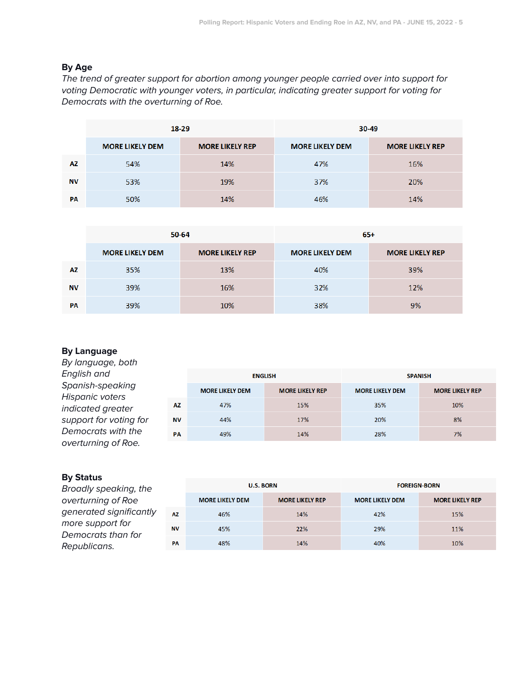## **By Age**

The trend of greater support for abortion among younger people carried over into support for voting Democratic with younger voters, in particular, indicating greater support for voting for Democrats with the overturning of Roe.

|           | $18 - 29$              |                        | 30-49                  |                        |  |
|-----------|------------------------|------------------------|------------------------|------------------------|--|
|           | <b>MORE LIKELY DEM</b> | <b>MORE LIKELY REP</b> | <b>MORE LIKELY DEM</b> | <b>MORE LIKELY REP</b> |  |
| AZ.       | 54%                    | 14%                    | 47%                    | 16%                    |  |
| <b>NV</b> | 53%                    | 19%                    | 37%                    | 20%                    |  |
| <b>PA</b> | 50%                    | 14%                    | 46%                    | 14%                    |  |

|           |                        | 50-64                  | $65+$                  |                        |  |
|-----------|------------------------|------------------------|------------------------|------------------------|--|
|           | <b>MORE LIKELY DEM</b> | <b>MORE LIKELY REP</b> | <b>MORE LIKELY DEM</b> | <b>MORE LIKELY REP</b> |  |
| AZ        | 35%                    | 13%                    | 40%                    | 39%                    |  |
| <b>NV</b> | 39%                    | 16%                    | 32%                    | 12%                    |  |
| PA        | 39%                    | 10%                    | 38%                    | 9%                     |  |

## **By Language**

| By language, both                         |           |                        |                        |                        |                        |
|-------------------------------------------|-----------|------------------------|------------------------|------------------------|------------------------|
| English and                               |           |                        | <b>ENGLISH</b>         | <b>SPANISH</b>         |                        |
| Spanish-speaking<br>Hispanic voters       |           | <b>MORE LIKELY DEM</b> | <b>MORE LIKELY REP</b> | <b>MORE LIKELY DEM</b> | <b>MORE LIKELY REP</b> |
| indicated greater                         | <b>AZ</b> | 47%                    | 15%                    | 35%                    | 10%                    |
| support for voting for                    | <b>NV</b> | 44%                    | 17%                    | 20%                    | 8%                     |
| Democrats with the<br>overturning of Roe. | PA        | 49%                    | 14%                    | 28%                    | 7%                     |

## **By Status**

Broadly speaking, the overturning of Roe generated significantly more support for Democrats than for Republicans.

|           | <b>U.S. BORN</b>       |                        | <b>FOREIGN-BORN</b>    |                        |  |
|-----------|------------------------|------------------------|------------------------|------------------------|--|
|           | <b>MORE LIKELY DEM</b> | <b>MORE LIKELY REP</b> | <b>MORE LIKELY DEM</b> | <b>MORE LIKELY REP</b> |  |
| AZ.       | 46%                    | 14%                    | 42%                    | 15%                    |  |
| <b>NV</b> | 45%                    | 22%                    | 29%                    | 11%                    |  |
| <b>PA</b> | 48%                    | 14%                    | 40%                    | 10%                    |  |